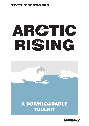# AR**C**TIC RI**S**ING



# A DOWNLOADABLE TOOLKIT

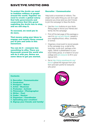To protect the Arctic we need to mobilise millions of people around the world. Together we need to create a global outcry that tells governments and corporations that this greed exploiting the Arctic has to stop, and we will stop it.

To succeed, we need you to do more.

That means using your ideas to engage and inspire those around you to join and unite in this movement.

You can do it – everyone has something to offer. There are thousands around the world who will do it with you. Below are some ideas to get you started.

# Recruiter / Communicator

Help build a movement of millions. The single most useful thing you can do is get everyone you know (and you don't know) to join the campaign to Save the Arctic.

- • Use the *share* buttons on your Arctic Rising page to recruit your friends and family into the campaign
- Print off the last page of this package a use it to *sign up your friends*, people in your neighbourhood, office, university or school.
- • Organise a local event to recruit people to the campaign (e.g. a stall at the local fete, a pub quiz, perhaps a film night). Deliver a presentation to your local hobby group, or a teach-in at your college and *ask everyone* to fill in your signup form.
- • Go to *http://rising.savethearctic.org/ recruit* upload the signups from your form and earn points for everyone who joins!







### **Contents**

- 2. Recruiter / Communicator
- 3. Fundraiser
- 3. Designer / Maker
- 4. Artist / Musician
- 4. Protestor / Activist
- 5. Filmmaker / Photographer
- 5. Writer / Poet
- 6. Coder / Hacker
- 6. Organiser / Coordinator
- 7. Uploading your creation!
- 8. Signup your friends and family!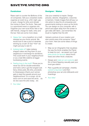### Fundraiser

Raise cash to counter the \$billions of the oil companies. Sell your unwanted clutter, organise an event (e.g. a film night, gig or quiz), charge for entry and donate the money to Save The Arctic. Take part in a sponsored event or organise one. Organise your own local Arctic fete or fair with friends, charge for stalls, entry and the bar. Here are some more ideas:

- *Happy feet:* run a marathon (or a half) dressed as your Arctic animal. We would love to see a pod of narwhals winning by a tusk! (In fact \*hint\* we might just pay to see it!)
- • *Iceberg bake off:* bake iceberg shaped cakes and flog them to your neighbours in exchange for donations. This could work in your neighbourhood or as a neat little sideline at bigger fundraising events.
- • *Feeling long in the tooth?* Prove you're never too old for double-entendres and hold a who's got the longest tusk fancy dress party. \$5 entry, proceeds to Greenpeace (thank you!) winner gets to lead the parade around your neighbourhood. It's a congo: do do dooo com'on and save the arctic... do do doo save the artic today... etc

### Designer / Maker

Use your creativity to inspire. Design pictures, stencils, infographics, costumes or banners. Create images that will spur us into action to stop the oil companies and governments looking to carve up the Arctic. You can design on your computer, with a pencil and paper away from the screen or get crafty with fabric. Just remember, the brush is mightier than the drill.

Upload a picture of your creation and earn points every time someone \*likes\* your work. Here are some ideas of things to create:

- Map out an infographic that visualises the way the Arctic enables the Planet to keep its cool – we expect you'll get *extra points for factoids* about Arctic foxes and other Arctic creatures.
- • Design and *make an owl costume* and film a friend flapping casually past your local gas station.
- Plan a guerilla ad campaign, cheekily *subvert a big brand* and then photoshop your ad onto billboards and hoardings.
- Your *idea!*

• *Your idea!*





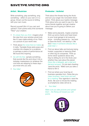# Artist / Musician

Write something, play something, sing something – either on your own or in a group. Drown out the sound of drilling with your own music.

Record yourself (film it if you can) and upload it. Earn points every time someone \*likes\* your creation.

- • *It's closer than you think:* imagine what the view from your window would look like if it was made entirely of ice. Paint us a picture of your world view.
- • Think about *the noise that ice makes* as it melts. Translate those eerie pops and crackles into shapes for a sculpture, or perhaps a piece of performance art. We found this inspiring
- • *Go with the floe:* sample something that sounds like this and drop it into a dubstep masterpiece (or whatever the cool kids are stepping to these days – you know who you are).
- • *Your idea!*



# Protestor / Activist

Think about the threats facing the Arctic and turn your anger into nonviolent direct action. Think about your topline message. Think about who you want to say it to. Get some friends together and get creative about how you're going to deliver your message.

- Make some placards, maybe a banner, think up some chants and head down to your local garage to let everyone know – including passers by – we have to Save the Arctic, not destroy it. We find *it helps if someone dresses like a polar bear :)*
- Find out about talks and lectures being hosted, supported or featuring Shell or other big oil companies. Think up some clever questions about why they're drilling for oil in the Arctic and whether they care about the planet. *Dress like a delegate, get a seat and demand answers.* Or just start chanting 'save the arctic.' Make sure you take a friend to film it.
- Find out where your local big oil business operates from. Dress like you *mean business, head down and ask for a meeting!* Your agenda is: save the Arctic. Be sure to minute the meeting (a smartphone video will do it).
- Your *idea!*

*Make sure you take pictures and upload them – the Rising will reward you with points.*



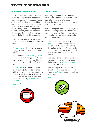### Filmmaker / Photographer

The oil companies have £billions in their advertising budgets but we need your creativity to ensure our message is seen by millions. Create the next viral video about the Arctic – and the threats facing it – and you'll be making a huge impact in the campaign. Film it on your phone, use your webcam, make an animation – the medium doesn't matter – it's your creativity that will make this a success.

Upload your film and we'll share it with thousands – and the Rising will reward you with points.

- • *Project voxpop:* "If you were an Arctic animal, which one would you be and why?"
- • Find a video of a *well-known politician* in your country making a speech – dub over his words with what you think he ought to be saying. \*Hint\*: "Save the Arctic".
- • *Guess who:* take a portrait (it could be a self-portrait) of an Arctic defender with a cryptic item that represents their collective: eg, Here I am with a copy of the Beatles' Magical Mystery Tour album, who am I? *[ANSWER: I am the Walrus]*

Writer / Poet

Unleash your inner Bard. The beauty of your words could make thousands sit up and take notice of what's happening to the Arctic. So get thinking and pen some words to inspire millions.

Upload your poem or tell your story (or film yourself reading it) and we'll share it far and wide – and the Rising will reward you with points. Here are some exercises to prompt your muse:

- Deep: how does it feel when you *look north* and know that your name is planted at the top of the world at the bottom of the ocean? I bet Hamlet would have something to say about it! Write a one-man play about your inner journey.
- Look at the clustering sad shapes of disappearing sea ice make a poem that captures this *bittersweet beauty*. Something rhythmic.
- Your challenge: you can't say 'white' or 'iridescent' or 'sparkle' now pen a piece of *flash fiction* about a polar bear in the Arctic.
- Your *idea!*







**GREENPEA**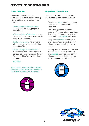# Coder / Hacker

Create the digital threads to our community and use your programming skills to undermine plans to carve up the Arctic.

- • *Create an interactive visualisation*  or infographic inspiring people to get involved.
- • *Write a script for a Twitter bot* that gives live updates on the extent of the Arctic sea ice… in ice cubes.
- • *Craft an online game* that everyone will want to play pitting the oil drillers against the Rising.
- • *Create a hologram body-double* of oil company CEOs – this time with a conscience – so we can swap them in for the real thing (ok, this is getting a bit sci-fi).
- • *Your idea!*

*Upload screenshots - with links - to your creation and we'll share it with thousands. The Rising will reward you with points.*



# Organiser / Coordinator

You've done some of the above, but your skill is in finding and organising others.

- • Organise an *event* where your friends can recruit others, or fundraise for the campaign.
- Facilitate a gathering of creative designers / makers, artists / musicians, filmmakers / photographers, writers / poets and help *showcase* their work.
- • Setup and *coordinate* a local group of protestors / activists, network with others and help make larger events happen.
- Develop your own communication and organisation tools, setup email lists and *organise* local meetings, identify other organisers and build your own Arctic Defender – or Walrus network.



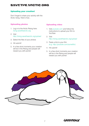# Uploading your creation!

Don't forget to share your activity with the Arctic rising. Here's how...

# Uploading photos

- 1. Log in to the Arctic Rising here: *rising.savethearctic.org*
- 2. Visit *http://rising.savethearctic.org/upload*
- 3. Select the files of your photos
- 4. Hit submit!
- 5. In a few short moments your creation will be in the Rising and people will reward you with points!

# Uploading video

- 1. Visit *youtube.com* and follow the instructions to upload your film to YouTube
- 2. Visit *http://rising.savethearctic.org/upload*
- 3. Paste a link to your film *(e.g. http://youtube.com/somefilm)*
- 4. Hit submit!
- 5. In a few short moments your creation will be in the Rising and people will reward you with points!